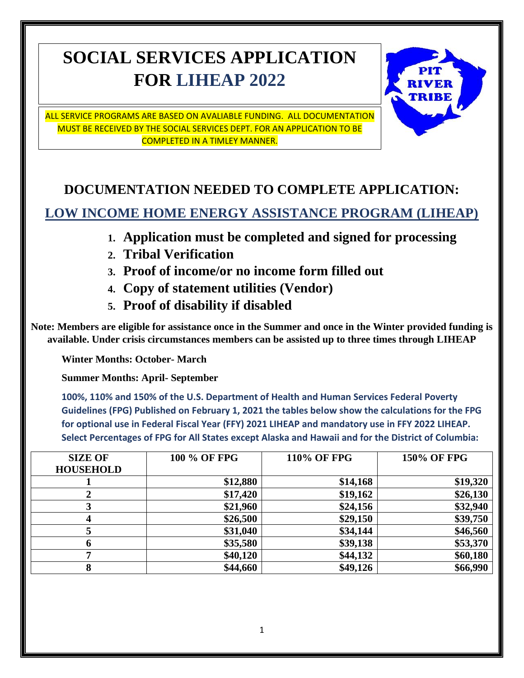# **SOCIAL SERVICES APPLICATION FOR LIHEAP 2022**



ALL SERVICE PROGRAMS ARE BASED ON AVALIABLE FUNDING. ALL DOCUMENTATION MUST BE RECEIVED BY THE SOCIAL SERVICES DEPT. FOR AN APPLICATION TO BE COMPLETED IN A TIMLEY MANNER.

# **DOCUMENTATION NEEDED TO COMPLETE APPLICATION: LOW INCOME HOME ENERGY ASSISTANCE PROGRAM (LIHEAP)**

- **1. Application must be completed and signed for processing**
- **2. Tribal Verification**
- **3. Proof of income/or no income form filled out**
- **4. Copy of statement utilities (Vendor)**
- **5. Proof of disability if disabled**

**Note: Members are eligible for assistance once in the Summer and once in the Winter provided funding is available. Under crisis circumstances members can be assisted up to three times through LIHEAP**

**Winter Months: October- March**

**Summer Months: April- September**

**100%, 110% and 150% of the U.S. Department of Health and Human Services Federal Poverty Guidelines (FPG) Published on February 1, 2021 the tables below show the calculations for the FPG for optional use in Federal Fiscal Year (FFY) 2021 LIHEAP and mandatory use in FFY 2022 LIHEAP. Select Percentages of FPG for All States except Alaska and Hawaii and for the District of Columbia:**

| <b>SIZE OF</b><br><b>HOUSEHOLD</b> | 100 % OF FPG | <b>110% OF FPG</b> | <b>150% OF FPG</b> |
|------------------------------------|--------------|--------------------|--------------------|
|                                    | \$12,880     | \$14,168           | \$19,320           |
|                                    | \$17,420     | \$19,162           | \$26,130           |
|                                    | \$21,960     | \$24,156           | \$32,940           |
|                                    | \$26,500     | \$29,150           | \$39,750           |
|                                    | \$31,040     | \$34,144           | \$46,560           |
|                                    | \$35,580     | \$39,138           | \$53,370           |
| -                                  | \$40,120     | \$44,132           | \$60,180           |
|                                    | \$44,660     | \$49,126           | \$66,990           |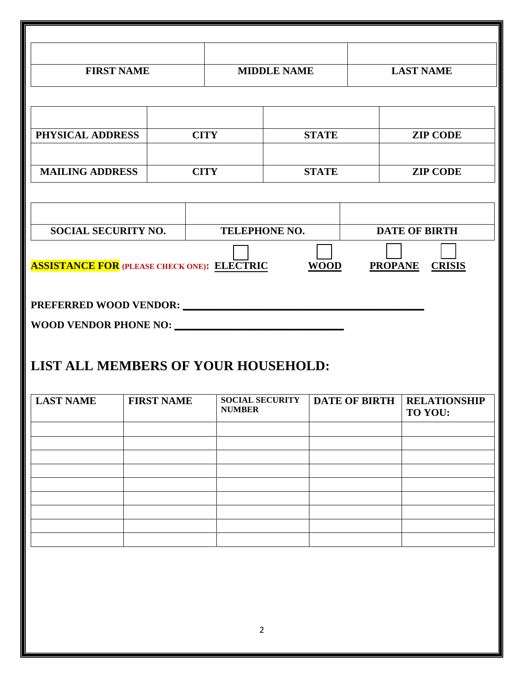| <b>FIRST NAME</b>                                              |                                     | <b>MIDDLE NAME</b> |                                         | <b>LAST NAME</b> |  |  |                                                |
|----------------------------------------------------------------|-------------------------------------|--------------------|-----------------------------------------|------------------|--|--|------------------------------------------------|
|                                                                |                                     |                    |                                         |                  |  |  |                                                |
| PHYSICAL ADDRESS                                               |                                     | <b>CITY</b>        |                                         | <b>STATE</b>     |  |  | <b>ZIP CODE</b>                                |
| <b>MAILING ADDRESS</b>                                         |                                     |                    | <b>CITY</b>                             | <b>STATE</b>     |  |  | <b>ZIP CODE</b>                                |
|                                                                |                                     |                    |                                         |                  |  |  |                                                |
| <b>SOCIAL SECURITY NO.</b>                                     |                                     |                    | <b>TELEPHONE NO.</b>                    |                  |  |  | <b>DATE OF BIRTH</b>                           |
| <b>ASSISTANCE FOR</b> (PLEASE CHECK ONE): <b>ELECTRIC</b> WOOD |                                     |                    |                                         |                  |  |  | <b>PROPANE CRISIS</b>                          |
|                                                                |                                     |                    |                                         |                  |  |  |                                                |
| WOOD VENDOR PHONE NO:                                          |                                     |                    |                                         |                  |  |  |                                                |
|                                                                | LIST ALL MEMBERS OF YOUR HOUSEHOLD: |                    |                                         |                  |  |  |                                                |
| <b>LAST NAME</b>                                               |                                     | <b>FIRST NAME</b>  | <b>SOCIAL SECURITY</b><br><b>NUMBER</b> |                  |  |  | <b>DATE OF BIRTH   RELATIONSHIP</b><br>TO YOU: |
|                                                                |                                     |                    |                                         |                  |  |  |                                                |
|                                                                |                                     |                    |                                         |                  |  |  |                                                |
|                                                                |                                     |                    |                                         |                  |  |  |                                                |
|                                                                |                                     |                    |                                         |                  |  |  |                                                |
|                                                                |                                     |                    |                                         |                  |  |  |                                                |
|                                                                |                                     |                    |                                         |                  |  |  |                                                |
|                                                                |                                     |                    |                                         |                  |  |  |                                                |
|                                                                |                                     |                    |                                         |                  |  |  |                                                |
|                                                                |                                     |                    |                                         |                  |  |  |                                                |
|                                                                |                                     |                    |                                         |                  |  |  |                                                |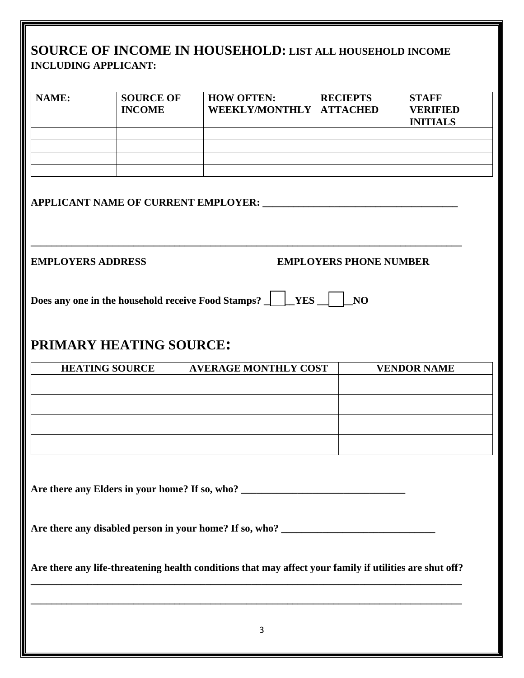#### **SOURCE OF INCOME IN HOUSEHOLD: LIST ALL HOUSEHOLD INCOME INCLUDING APPLICANT:**

| NAME:                    | <b>SOURCE OF</b><br><b>INCOME</b>   | <b>HOW OFTEN:</b><br><b>WEEKLY/MONTHLY</b> | <b>RECIEPTS</b><br><b>ATTACHED</b> | <b>STAFF</b><br><b>VERIFIED</b><br><b>INITIALS</b> |
|--------------------------|-------------------------------------|--------------------------------------------|------------------------------------|----------------------------------------------------|
|                          |                                     |                                            |                                    |                                                    |
|                          | APPLICANT NAME OF CURRENT EMPLOYER: |                                            |                                    |                                                    |
| <b>EMPLOYERS ADDRESS</b> |                                     |                                            | <b>EMPLOYERS PHONE NUMBER</b>      |                                                    |

**Does any one in the household receive Food Stamps? \_\_\_\_\_\_\_YES \_\_\_\_\_\_\_\_NO** 

## **PRIMARY HEATING SOURCE:**

| <b>HEATING SOURCE</b> | <b>AVERAGE MONTHLY COST</b> | <b>VENDOR NAME</b> |
|-----------------------|-----------------------------|--------------------|
|                       |                             |                    |
|                       |                             |                    |
|                       |                             |                    |
|                       |                             |                    |
|                       |                             |                    |

**Are there any Elders in your home? If so, who? \_\_\_\_\_\_\_\_\_\_\_\_\_\_\_\_\_\_\_\_\_\_\_\_\_\_\_\_\_\_\_\_**

Are there any disabled person in your home? If so, who?

**Are there any life-threatening health conditions that may affect your family if utilities are shut off? \_\_\_\_\_\_\_\_\_\_\_\_\_\_\_\_\_\_\_\_\_\_\_\_\_\_\_\_\_\_\_\_\_\_\_\_\_\_\_\_\_\_\_\_\_\_\_\_\_\_\_\_\_\_\_\_\_\_\_\_\_\_\_\_\_\_\_\_\_\_\_\_\_\_\_\_\_\_\_\_\_\_\_\_**

**\_\_\_\_\_\_\_\_\_\_\_\_\_\_\_\_\_\_\_\_\_\_\_\_\_\_\_\_\_\_\_\_\_\_\_\_\_\_\_\_\_\_\_\_\_\_\_\_\_\_\_\_\_\_\_\_\_\_\_\_\_\_\_\_\_\_\_\_\_\_\_\_\_\_\_\_\_\_\_\_\_\_\_\_**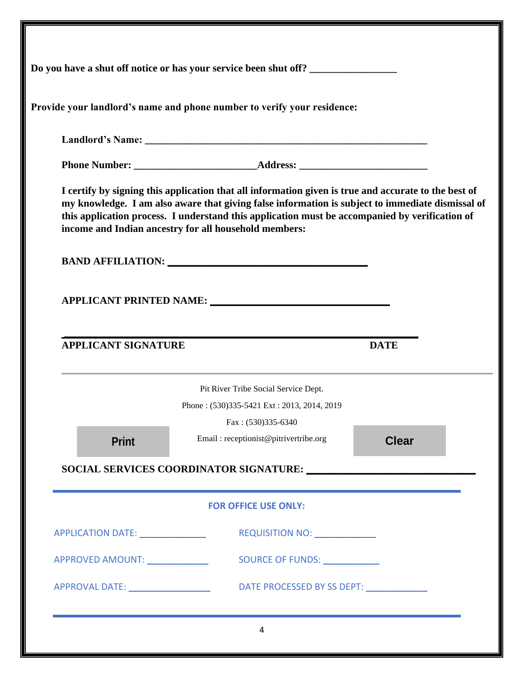|                                              | Provide your landlord's name and phone number to verify your residence:                                                                                                                                                                                                                                                                                             |              |
|----------------------------------------------|---------------------------------------------------------------------------------------------------------------------------------------------------------------------------------------------------------------------------------------------------------------------------------------------------------------------------------------------------------------------|--------------|
|                                              |                                                                                                                                                                                                                                                                                                                                                                     |              |
|                                              |                                                                                                                                                                                                                                                                                                                                                                     |              |
|                                              | I certify by signing this application that all information given is true and accurate to the best of<br>my knowledge. I am also aware that giving false information is subject to immediate dismissal of<br>this application process. I understand this application must be accompanied by verification of<br>income and Indian ancestry for all household members: |              |
|                                              |                                                                                                                                                                                                                                                                                                                                                                     |              |
|                                              |                                                                                                                                                                                                                                                                                                                                                                     |              |
|                                              |                                                                                                                                                                                                                                                                                                                                                                     |              |
| <b>APPLICANT SIGNATURE</b>                   |                                                                                                                                                                                                                                                                                                                                                                     | <b>DATE</b>  |
|                                              | Pit River Tribe Social Service Dept.                                                                                                                                                                                                                                                                                                                                |              |
|                                              | Phone: (530)335-5421 Ext: 2013, 2014, 2019                                                                                                                                                                                                                                                                                                                          |              |
| <b>Print</b>                                 | Fax: (530)335-6340<br>Email: receptionist@pitrivertribe.org                                                                                                                                                                                                                                                                                                         | <b>Clear</b> |
|                                              | SOCIAL SERVICES COORDINATOR SIGNATURE: North Contract of the SOCIAL SERVICES COORDINATOR SIGNATURE:                                                                                                                                                                                                                                                                 |              |
|                                              | <b>FOR OFFICE USE ONLY:</b>                                                                                                                                                                                                                                                                                                                                         |              |
| APPLICATION DATE: _______________            | REQUISITION NO: ______________                                                                                                                                                                                                                                                                                                                                      |              |
| APPROVED AMOUNT: Network of APPROVED AMOUNT: | SOURCE OF FUNDS: North Contract Contract Contract Contract Contract Contract Contract Contract Contract Contract Contract Contract Contract Contract Contract Contract Contract Contract Contract Contract Contract Contract C                                                                                                                                      |              |